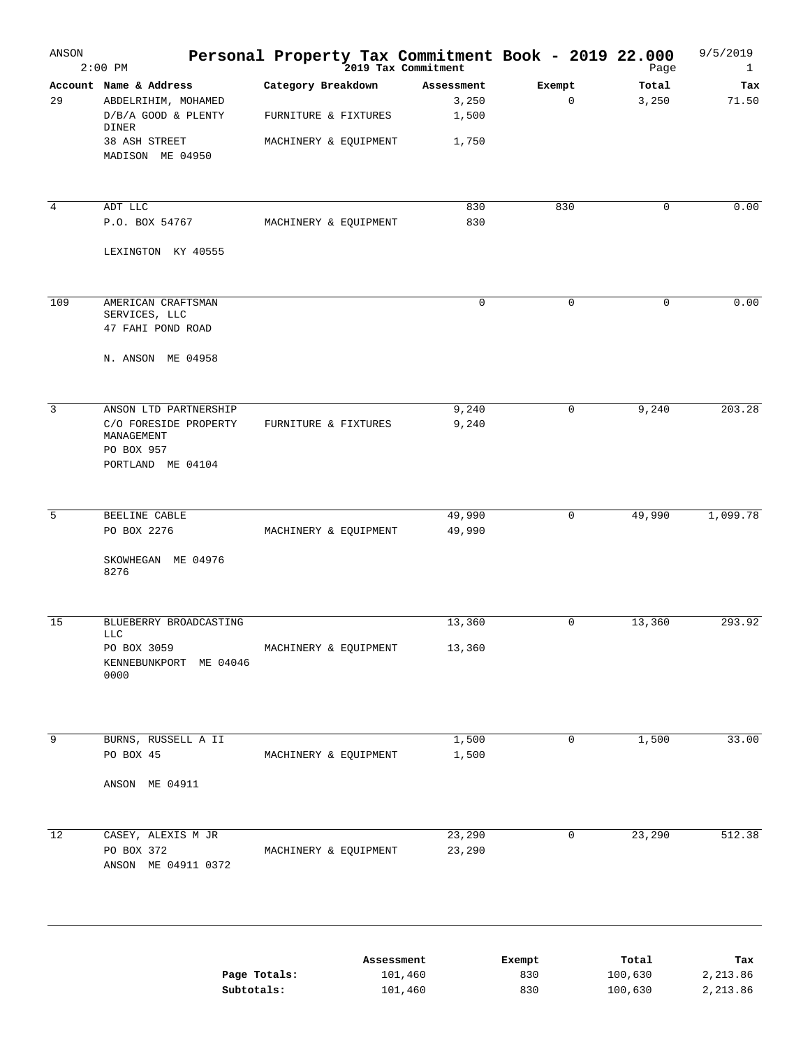| ANSON          | $2:00$ PM                                                                                                          | Personal Property Tax Commitment Book - 2019 22.000                 |                                       |                       | Page               | 9/5/2019<br>$\mathbf{1}$ |
|----------------|--------------------------------------------------------------------------------------------------------------------|---------------------------------------------------------------------|---------------------------------------|-----------------------|--------------------|--------------------------|
| 29             | Account Name & Address<br>ABDELRIHIM, MOHAMED<br>D/B/A GOOD & PLENTY<br>DINER<br>38 ASH STREET<br>MADISON ME 04950 | Category Breakdown<br>FURNITURE & FIXTURES<br>MACHINERY & EQUIPMENT | Assessment<br>3,250<br>1,500<br>1,750 | Exempt<br>$\mathsf 0$ | Total<br>3,250     | Tax<br>71.50             |
|                |                                                                                                                    |                                                                     |                                       |                       |                    |                          |
| $\overline{4}$ | ADT LLC<br>P.O. BOX 54767<br>LEXINGTON KY 40555                                                                    | MACHINERY & EQUIPMENT                                               | 830<br>830                            | 830                   | 0                  | 0.00                     |
|                |                                                                                                                    |                                                                     |                                       |                       |                    |                          |
| 109            | AMERICAN CRAFTSMAN<br>SERVICES, LLC<br>47 FAHI POND ROAD                                                           |                                                                     | 0                                     | 0                     | 0                  | 0.00                     |
|                | N. ANSON ME 04958                                                                                                  |                                                                     |                                       |                       |                    |                          |
| $\overline{3}$ | ANSON LTD PARTNERSHIP<br>C/O FORESIDE PROPERTY<br>MANAGEMENT<br>PO BOX 957<br>PORTLAND ME 04104                    | FURNITURE & FIXTURES                                                | 9,240<br>9,240                        | 0                     | 9,240              | 203.28                   |
|                |                                                                                                                    |                                                                     |                                       |                       |                    |                          |
| 5              | BEELINE CABLE<br>PO BOX 2276                                                                                       | MACHINERY & EQUIPMENT                                               | 49,990<br>49,990                      | $\mathbf 0$           | 49,990             | 1,099.78                 |
|                | SKOWHEGAN ME 04976<br>8276                                                                                         |                                                                     |                                       |                       |                    |                          |
| 15             | BLUEBERRY BROADCASTING<br><b>LLC</b>                                                                               |                                                                     | 13,360                                | $\mathbf 0$           | 13,360             | 293.92                   |
|                | PO BOX 3059<br>KENNEBUNKPORT<br>ME 04046<br>0000                                                                   | MACHINERY & EQUIPMENT                                               | 13,360                                |                       |                    |                          |
|                |                                                                                                                    |                                                                     |                                       |                       |                    |                          |
| 9              | BURNS, RUSSELL A II<br>PO BOX 45                                                                                   | MACHINERY & EQUIPMENT                                               | 1,500<br>1,500                        | $\mathbf 0$           | 1,500              | 33.00                    |
|                | ANSON ME 04911                                                                                                     |                                                                     |                                       |                       |                    |                          |
| 12             | CASEY, ALEXIS M JR                                                                                                 |                                                                     | 23,290                                | $\mathsf{O}\xspace$   | 23,290             | 512.38                   |
|                | PO BOX 372<br>ANSON ME 04911 0372                                                                                  | MACHINERY & EQUIPMENT                                               | 23,290                                |                       |                    |                          |
|                |                                                                                                                    |                                                                     | Assessment                            | Exempt                | Total              | Tax                      |
|                | Page Totals:<br>Subtotals:                                                                                         |                                                                     | 101,460<br>101,460                    | 830<br>830            | 100,630<br>100,630 | 2,213.86<br>2,213.86     |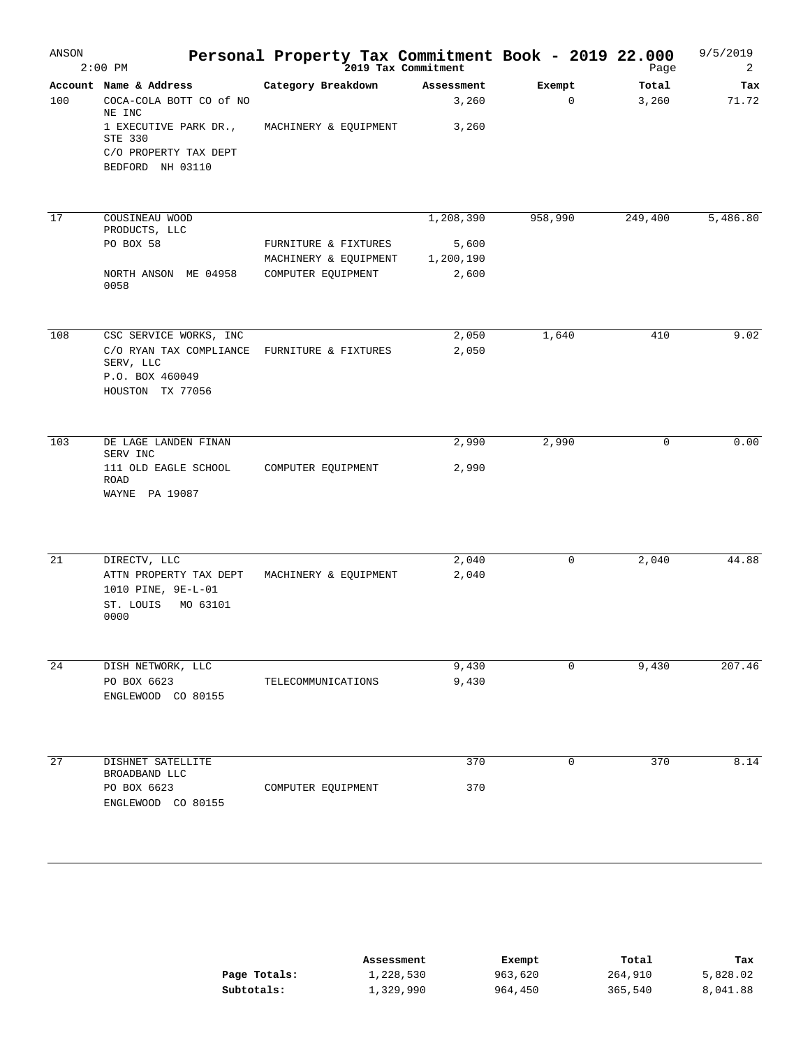| ANSON | $2:00$ PM                                                                                     | Personal Property Tax Commitment Book - 2019 22.000 | 2019 Tax Commitment |                       | Page           | 9/5/2019<br>2 |
|-------|-----------------------------------------------------------------------------------------------|-----------------------------------------------------|---------------------|-----------------------|----------------|---------------|
| 100   | Account Name & Address<br>COCA-COLA BOTT CO of NO<br>NE INC                                   | Category Breakdown                                  | Assessment<br>3,260 | Exempt<br>$\mathbf 0$ | Total<br>3,260 | Tax<br>71.72  |
|       | 1 EXECUTIVE PARK DR.,<br>STE 330<br>C/O PROPERTY TAX DEPT<br>BEDFORD NH 03110                 | MACHINERY & EQUIPMENT                               | 3,260               |                       |                |               |
| 17    | COUSINEAU WOOD<br>PRODUCTS, LLC                                                               |                                                     | 1,208,390           | 958,990               | 249,400        | 5,486.80      |
|       | PO BOX 58                                                                                     | FURNITURE & FIXTURES                                | 5,600               |                       |                |               |
|       |                                                                                               | MACHINERY & EQUIPMENT                               | 1,200,190           |                       |                |               |
|       | NORTH ANSON ME 04958<br>0058                                                                  | COMPUTER EQUIPMENT                                  | 2,600               |                       |                |               |
| 108   | CSC SERVICE WORKS, INC                                                                        |                                                     | 2,050               | 1,640                 | 410            | 9.02          |
|       | C/O RYAN TAX COMPLIANCE<br>SERV, LLC                                                          | FURNITURE & FIXTURES                                | 2,050               |                       |                |               |
|       | P.O. BOX 460049<br>HOUSTON TX 77056                                                           |                                                     |                     |                       |                |               |
| 103   | DE LAGE LANDEN FINAN<br>SERV INC                                                              |                                                     | 2,990               | 2,990                 | 0              | 0.00          |
|       | 111 OLD EAGLE SCHOOL<br>ROAD<br>WAYNE PA 19087                                                | COMPUTER EQUIPMENT                                  | 2,990               |                       |                |               |
| 21    |                                                                                               |                                                     |                     | $\mathbf 0$           | 2,040          | 44.88         |
|       | DIRECTV, LLC<br>ATTN PROPERTY TAX DEPT<br>1010 PINE, 9E-L-01<br>ST. LOUIS<br>MO 63101<br>0000 | MACHINERY & EQUIPMENT                               | 2,040<br>2,040      |                       |                |               |
| 24    | DISH NETWORK, LLC                                                                             |                                                     | 9,430               | 0                     | 9,430          | 207.46        |
|       | PO BOX 6623<br>ENGLEWOOD CO 80155                                                             | TELECOMMUNICATIONS                                  | 9,430               |                       |                |               |
| 27    | DISHNET SATELLITE<br>BROADBAND LLC                                                            |                                                     | 370                 | $\mathbf 0$           | 370            | 8.14          |
|       | PO BOX 6623<br>ENGLEWOOD CO 80155                                                             | COMPUTER EQUIPMENT                                  | 370                 |                       |                |               |

|              | Assessment | Exempt  | Total   | Tax      |
|--------------|------------|---------|---------|----------|
| Page Totals: | 1,228,530  | 963,620 | 264,910 | 5,828.02 |
| Subtotals:   | 1,329,990  | 964,450 | 365,540 | 8,041.88 |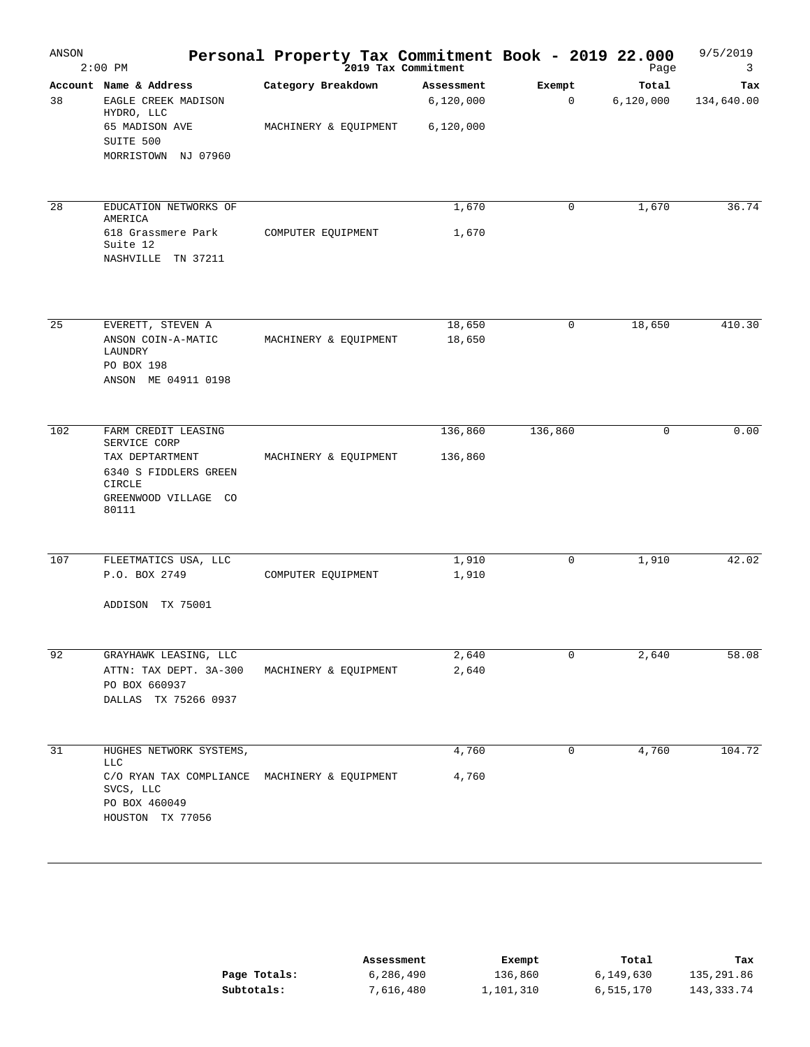| ANSON | $2:00$ PM                                                                                                                         | Personal Property Tax Commitment Book - 2019 22.000 | 2019 Tax Commitment                  |             | Page               | 9/5/2019<br>3     |
|-------|-----------------------------------------------------------------------------------------------------------------------------------|-----------------------------------------------------|--------------------------------------|-------------|--------------------|-------------------|
| 38    | Account Name & Address<br>EAGLE CREEK MADISON<br>HYDRO, LLC<br>65 MADISON AVE<br>SUITE 500<br>MORRISTOWN NJ 07960                 | Category Breakdown<br>MACHINERY & EQUIPMENT         | Assessment<br>6,120,000<br>6,120,000 | Exempt<br>0 | Total<br>6,120,000 | Tax<br>134,640.00 |
| 28    | EDUCATION NETWORKS OF<br>AMERICA<br>618 Grassmere Park<br>Suite 12<br>NASHVILLE TN 37211                                          | COMPUTER EQUIPMENT                                  | 1,670<br>1,670                       | 0           | 1,670              | 36.74             |
| 25    | EVERETT, STEVEN A<br>ANSON COIN-A-MATIC<br>LAUNDRY<br>PO BOX 198<br>ANSON ME 04911 0198                                           | MACHINERY & EQUIPMENT                               | 18,650<br>18,650                     | 0           | 18,650             | 410.30            |
| 102   | FARM CREDIT LEASING<br>SERVICE CORP<br>TAX DEPTARTMENT<br>6340 S FIDDLERS GREEN<br><b>CIRCLE</b><br>GREENWOOD VILLAGE CO<br>80111 | MACHINERY & EQUIPMENT                               | 136,860<br>136,860                   | 136,860     | $\mathbf 0$        | 0.00              |
| 107   | FLEETMATICS USA, LLC<br>P.O. BOX 2749<br>ADDISON TX 75001                                                                         | COMPUTER EQUIPMENT                                  | 1,910<br>1,910                       | 0           | 1,910              | 42.02             |
| 92    | GRAYHAWK LEASING, LLC<br>ATTN: TAX DEPT. 3A-300<br>PO BOX 660937<br>DALLAS TX 75266 0937                                          | MACHINERY & EQUIPMENT                               | 2,640<br>2,640                       | 0           | 2,640              | 58.08             |
| 31    | HUGHES NETWORK SYSTEMS,<br>LLC<br>C/O RYAN TAX COMPLIANCE<br>SVCS, LLC<br>PO BOX 460049<br>HOUSTON TX 77056                       | MACHINERY & EQUIPMENT                               | 4,760<br>4,760                       | 0           | 4,760              | 104.72            |

|              | Assessment | Exempt    | Total     | Tax        |
|--------------|------------|-----------|-----------|------------|
| Page Totals: | 6,286,490  | 136,860   | 6,149,630 | 135,291.86 |
| Subtotals:   | 7,616,480  | 1,101,310 | 6,515,170 | 143,333.74 |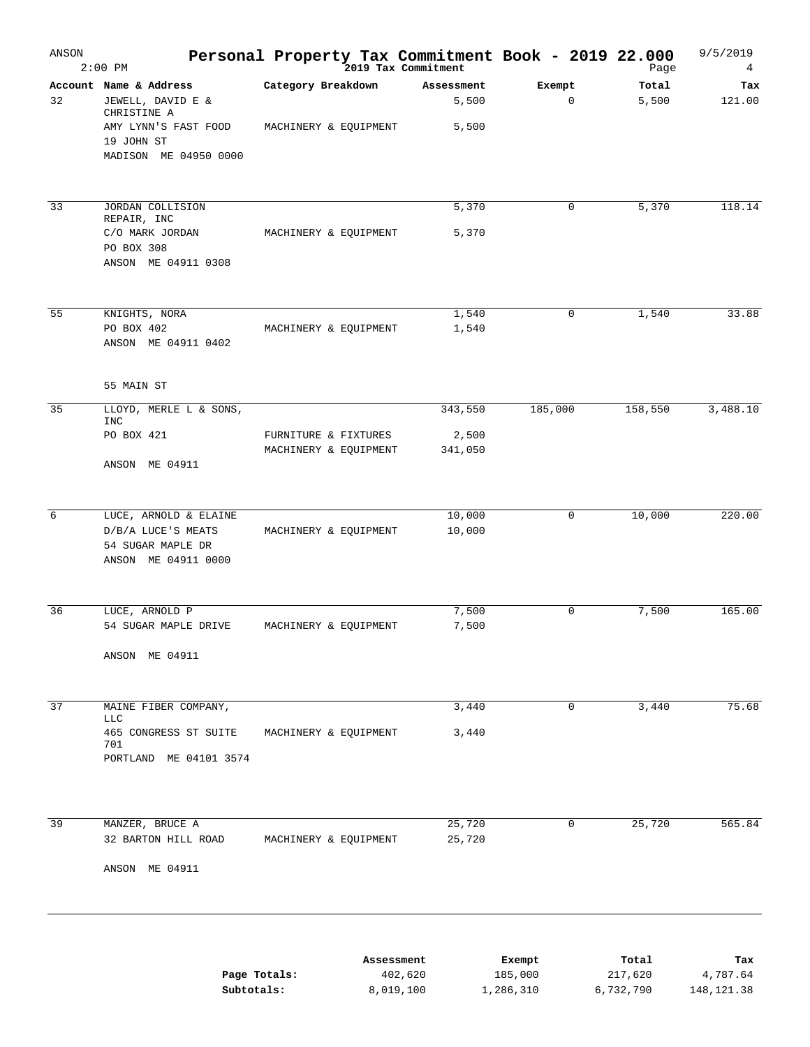| ANSON | $2:00$ PM                                                                                                                 |                                               |            | Personal Property Tax Commitment Book - 2019 22.000<br><sup>2019</sup> Tax Commitment |                       | Page             | 9/5/2019<br>4   |
|-------|---------------------------------------------------------------------------------------------------------------------------|-----------------------------------------------|------------|---------------------------------------------------------------------------------------|-----------------------|------------------|-----------------|
| 32    | Account Name & Address<br>JEWELL, DAVID E &<br>CHRISTINE A<br>AMY LYNN'S FAST FOOD<br>19 JOHN ST<br>MADISON ME 04950 0000 | Category Breakdown<br>MACHINERY & EQUIPMENT   |            | Assessment<br>5,500<br>5,500                                                          | Exempt<br>$\mathbf 0$ | Total<br>5,500   | Tax<br>121.00   |
|       |                                                                                                                           |                                               |            |                                                                                       |                       |                  |                 |
| 33    | JORDAN COLLISION<br>REPAIR, INC<br>C/O MARK JORDAN<br>PO BOX 308                                                          | MACHINERY & EQUIPMENT                         |            | 5,370<br>5,370                                                                        | 0                     | 5,370            | 118.14          |
|       | ANSON ME 04911 0308                                                                                                       |                                               |            |                                                                                       |                       |                  |                 |
| 55    | KNIGHTS, NORA<br>PO BOX 402<br>ANSON ME 04911 0402                                                                        | MACHINERY & EQUIPMENT                         |            | 1,540<br>1,540                                                                        | $\mathbf 0$           | 1,540            | 33.88           |
|       | 55 MAIN ST                                                                                                                |                                               |            |                                                                                       |                       |                  |                 |
| 35    | LLOYD, MERLE L & SONS,<br><b>INC</b>                                                                                      |                                               |            | 343,550                                                                               | 185,000               | 158,550          | 3,488.10        |
|       | PO BOX 421<br>ANSON ME 04911                                                                                              | FURNITURE & FIXTURES<br>MACHINERY & EQUIPMENT |            | 2,500<br>341,050                                                                      |                       |                  |                 |
|       |                                                                                                                           |                                               |            |                                                                                       |                       |                  |                 |
| 6     | LUCE, ARNOLD & ELAINE<br>D/B/A LUCE'S MEATS<br>54 SUGAR MAPLE DR<br>ANSON ME 04911 0000                                   | MACHINERY & EQUIPMENT                         |            | 10,000<br>10,000                                                                      | 0                     | 10,000           | 220.00          |
| 36    | LUCE, ARNOLD P                                                                                                            |                                               |            | 7,500                                                                                 | $\mathbf 0$           | 7,500            | 165.00          |
|       | 54 SUGAR MAPLE DRIVE<br>ANSON ME 04911                                                                                    | MACHINERY & EQUIPMENT                         |            | 7,500                                                                                 |                       |                  |                 |
| 37    | MAINE FIBER COMPANY,                                                                                                      |                                               |            | 3,440                                                                                 | 0                     | 3,440            | 75.68           |
|       | LLC<br>465 CONGRESS ST SUITE<br>701<br>PORTLAND ME 04101 3574                                                             | MACHINERY & EQUIPMENT                         |            | 3,440                                                                                 |                       |                  |                 |
|       |                                                                                                                           |                                               |            |                                                                                       |                       |                  |                 |
| 39    | MANZER, BRUCE A<br>32 BARTON HILL ROAD                                                                                    | MACHINERY & EQUIPMENT                         |            | 25,720<br>25,720                                                                      | 0                     | 25,720           | 565.84          |
|       | ANSON ME 04911                                                                                                            |                                               |            |                                                                                       |                       |                  |                 |
|       |                                                                                                                           | Page Totals:                                  | Assessment | 402,620                                                                               | Exempt<br>185,000     | Total<br>217,620 | Tax<br>4,787.64 |
|       | Subtotals:                                                                                                                |                                               | 8,019,100  |                                                                                       | 1,286,310             | 6,732,790        | 148, 121.38     |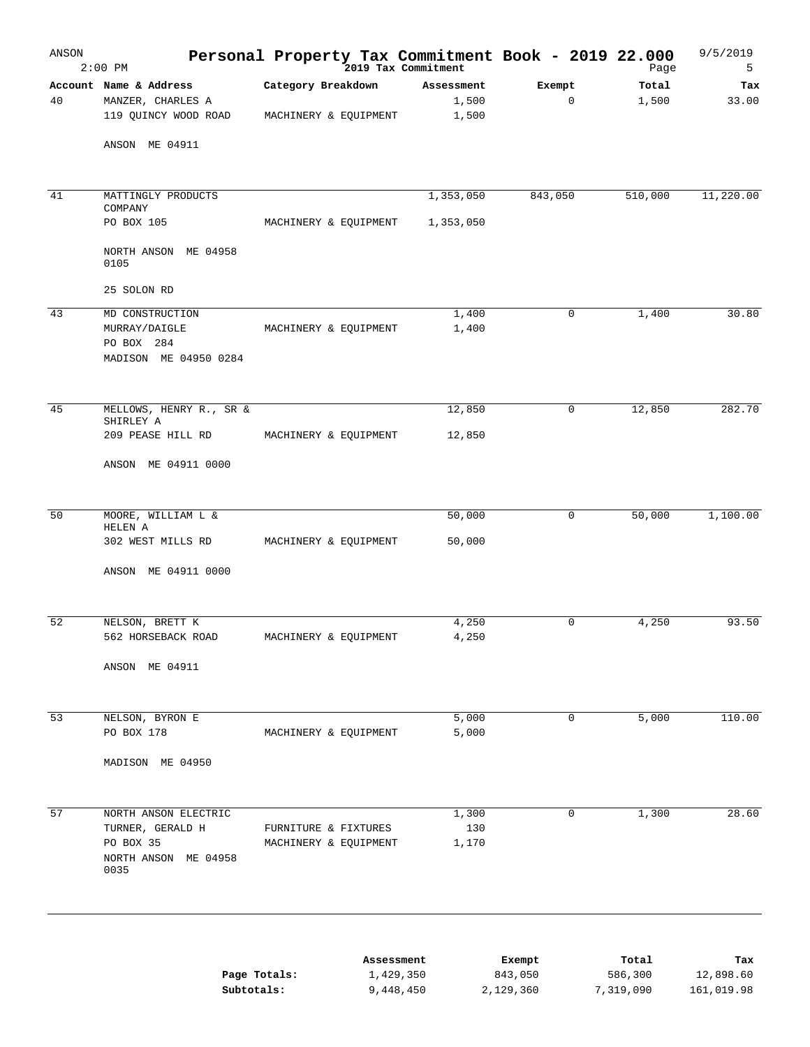| ANSON | $2:00$ PM                                | Personal Property Tax Commitment Book - 2019 22.000 |                        |                      | Page                 | 9/5/2019<br>5           |
|-------|------------------------------------------|-----------------------------------------------------|------------------------|----------------------|----------------------|-------------------------|
|       | Account Name & Address                   | Category Breakdown                                  | Assessment             | Exempt               | Total                | Tax                     |
| 40    | MANZER, CHARLES A                        |                                                     | 1,500                  | 0                    | 1,500                | 33.00                   |
|       | 119 QUINCY WOOD ROAD                     | MACHINERY & EQUIPMENT                               | 1,500                  |                      |                      |                         |
|       | ANSON ME 04911                           |                                                     |                        |                      |                      |                         |
| 41    | MATTINGLY PRODUCTS<br>COMPANY            |                                                     | 1,353,050              | 843,050              | 510,000              | 11,220.00               |
|       | PO BOX 105                               | MACHINERY & EQUIPMENT                               | 1,353,050              |                      |                      |                         |
|       | NORTH ANSON ME 04958<br>0105             |                                                     |                        |                      |                      |                         |
|       | 25 SOLON RD                              |                                                     |                        |                      |                      |                         |
| 43    | MD CONSTRUCTION                          |                                                     | 1,400                  | $\mathbf 0$          | 1,400                | 30.80                   |
|       | MURRAY/DAIGLE                            | MACHINERY & EQUIPMENT                               | 1,400                  |                      |                      |                         |
|       | PO BOX 284<br>MADISON ME 04950 0284      |                                                     |                        |                      |                      |                         |
| 45    | MELLOWS, HENRY R., SR &<br>SHIRLEY A     |                                                     | 12,850                 | 0                    | 12,850               | 282.70                  |
|       | 209 PEASE HILL RD                        | MACHINERY & EQUIPMENT                               | 12,850                 |                      |                      |                         |
|       | ANSON ME 04911 0000                      |                                                     |                        |                      |                      |                         |
| 50    | MOORE, WILLIAM L &                       |                                                     | 50,000                 | $\mathbf 0$          | 50,000               | 1,100.00                |
|       | HELEN A<br>302 WEST MILLS RD             | MACHINERY & EQUIPMENT                               | 50,000                 |                      |                      |                         |
|       | ANSON ME 04911 0000                      |                                                     |                        |                      |                      |                         |
|       |                                          |                                                     |                        |                      |                      |                         |
| 52    | NELSON, BRETT K                          |                                                     | 4,250                  | $\mathbf 0$          | 4,250                | 93.50                   |
|       | 562 HORSEBACK ROAD                       | MACHINERY & EQUIPMENT                               | 4,250                  |                      |                      |                         |
|       | ANSON ME 04911                           |                                                     |                        |                      |                      |                         |
| 53    | NELSON, BYRON E                          |                                                     | 5,000                  | $\mathbf 0$          | 5,000                | 110.00                  |
|       | PO BOX 178                               | MACHINERY & EQUIPMENT                               | 5,000                  |                      |                      |                         |
|       | MADISON ME 04950                         |                                                     |                        |                      |                      |                         |
|       |                                          |                                                     |                        |                      |                      |                         |
| 57    | NORTH ANSON ELECTRIC<br>TURNER, GERALD H | FURNITURE & FIXTURES                                | 1,300<br>130           | 0                    | 1,300                | 28.60                   |
|       | PO BOX 35                                | MACHINERY & EQUIPMENT                               | 1,170                  |                      |                      |                         |
|       | NORTH ANSON ME 04958<br>0035             |                                                     |                        |                      |                      |                         |
|       |                                          |                                                     |                        |                      |                      |                         |
|       |                                          |                                                     | Assessment             | Exempt               | Total                | Tax                     |
|       | Page Totals:<br>Subtotals:               |                                                     | 1,429,350<br>9,448,450 | 843,050<br>2,129,360 | 586,300<br>7,319,090 | 12,898.60<br>161,019.98 |
|       |                                          |                                                     |                        |                      |                      |                         |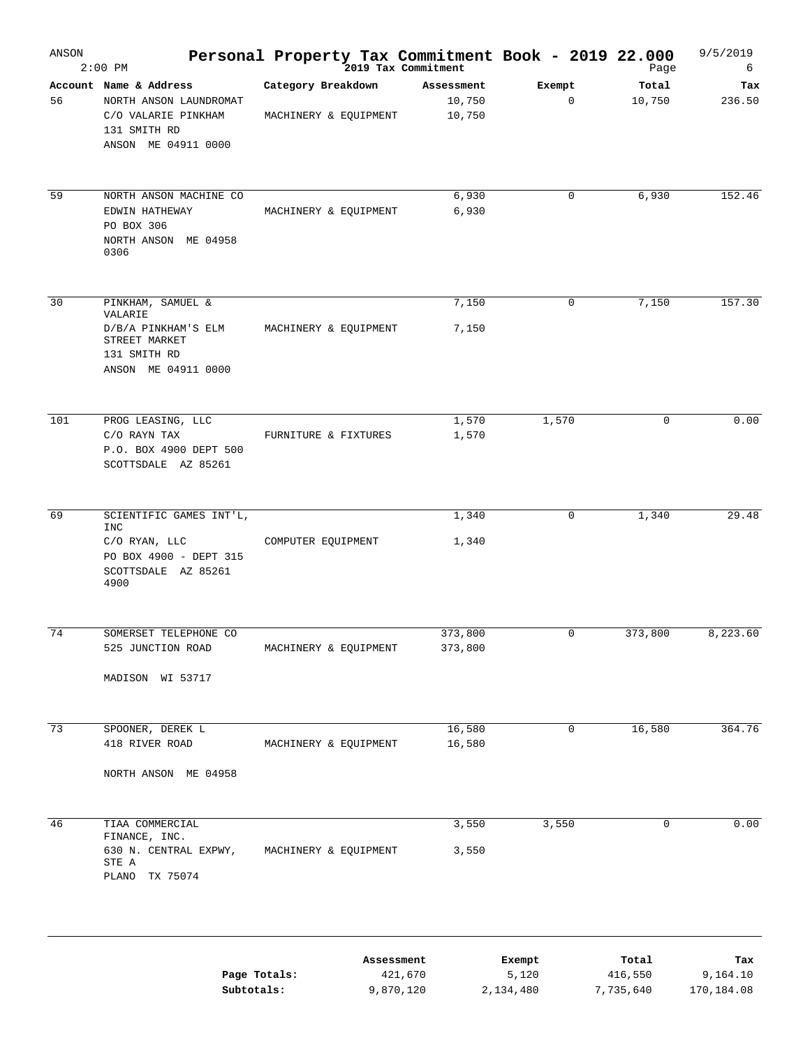| ANSON | $2:00$ PM                                                                                                       | Personal Property Tax Commitment Book - 2019 22.000 | 2019 Tax Commitment                |                              | Page                          | 9/5/2019<br>6                 |
|-------|-----------------------------------------------------------------------------------------------------------------|-----------------------------------------------------|------------------------------------|------------------------------|-------------------------------|-------------------------------|
| 56    | Account Name & Address<br>NORTH ANSON LAUNDROMAT<br>C/O VALARIE PINKHAM<br>131 SMITH RD<br>ANSON ME 04911 0000  | Category Breakdown<br>MACHINERY & EQUIPMENT         | Assessment<br>10,750<br>10,750     | Exempt<br>$\mathbf 0$        | Total<br>10,750               | Tax<br>236.50                 |
| 59    | NORTH ANSON MACHINE CO<br>EDWIN HATHEWAY<br>PO BOX 306<br>NORTH ANSON ME 04958<br>0306                          | MACHINERY & EQUIPMENT                               | 6,930<br>6,930                     | $\mathbf 0$                  | 6,930                         | 152.46                        |
| 30    | PINKHAM, SAMUEL &<br>VALARIE<br>D/B/A PINKHAM'S ELM<br>STREET MARKET<br>131 SMITH RD<br>ANSON ME 04911 0000     | MACHINERY & EQUIPMENT                               | 7,150<br>7,150                     | 0                            | 7,150                         | 157.30                        |
| 101   | PROG LEASING, LLC<br>C/O RAYN TAX<br>P.O. BOX 4900 DEPT 500<br>SCOTTSDALE AZ 85261                              | FURNITURE & FIXTURES                                | 1,570<br>1,570                     | 1,570                        | $\mathbf 0$                   | 0.00                          |
| 69    | SCIENTIFIC GAMES INT'L,<br><b>INC</b><br>C/O RYAN, LLC<br>PO BOX 4900 - DEPT 315<br>SCOTTSDALE AZ 85261<br>4900 | COMPUTER EQUIPMENT                                  | 1,340<br>1,340                     | $\mathbf 0$                  | 1,340                         | 29.48                         |
| 74    | SOMERSET TELEPHONE CO<br>525 JUNCTION ROAD<br>MADISON WI 53717                                                  | MACHINERY & EQUIPMENT                               | 373,800<br>373,800                 | $\mathbf 0$                  | 373,800                       | 8,223.60                      |
| 73    | SPOONER, DEREK L<br>418 RIVER ROAD<br>NORTH ANSON ME 04958                                                      | MACHINERY & EQUIPMENT                               | 16,580<br>16,580                   | 0                            | 16,580                        | 364.76                        |
| 46    | TIAA COMMERCIAL<br>FINANCE, INC.<br>630 N. CENTRAL EXPWY,<br>STE A<br>PLANO<br>TX 75074                         | MACHINERY & EQUIPMENT                               | 3,550<br>3,550                     | 3,550                        | 0                             | 0.00                          |
|       | Page Totals:<br>Subtotals:                                                                                      |                                                     | Assessment<br>421,670<br>9,870,120 | Exempt<br>5,120<br>2,134,480 | Total<br>416,550<br>7,735,640 | Tax<br>9,164.10<br>170,184.08 |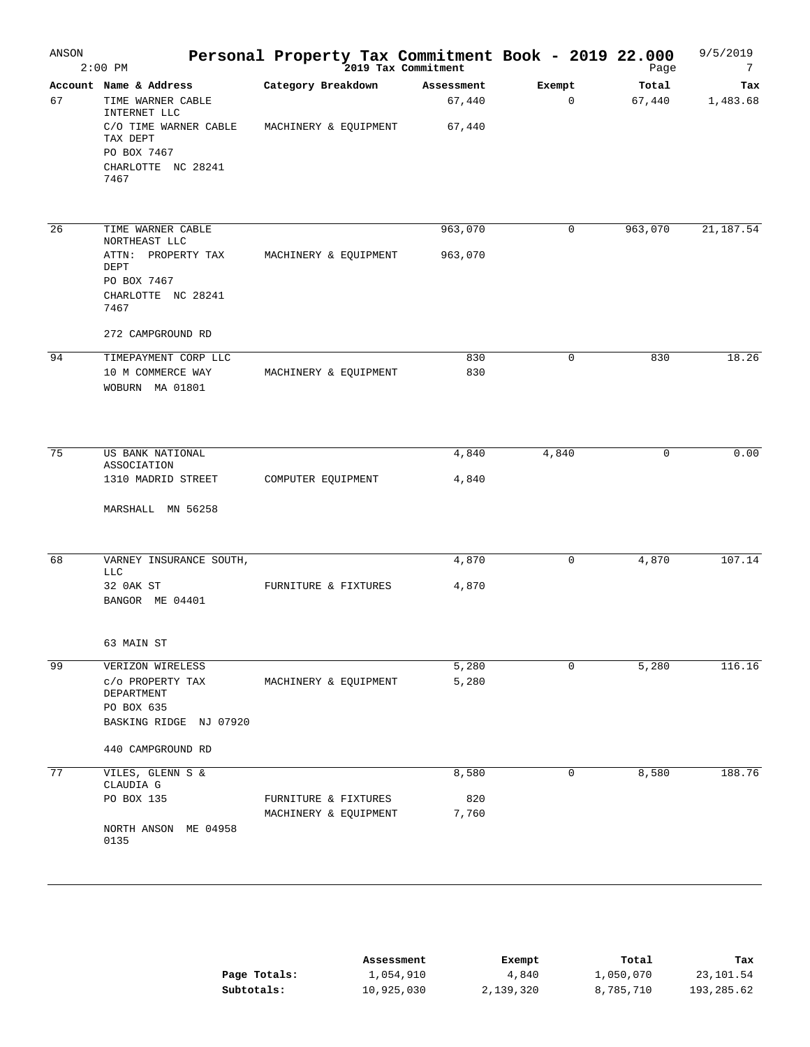| ANSON | $2:00$ PM                                                                      | Personal Property Tax Commitment Book - 2019 22.000 |                      |                        | Page            | 9/5/2019<br>7   |
|-------|--------------------------------------------------------------------------------|-----------------------------------------------------|----------------------|------------------------|-----------------|-----------------|
| 67    | Account Name & Address<br>TIME WARNER CABLE<br>INTERNET LLC                    | Category Breakdown                                  | Assessment<br>67,440 | Exempt<br>$\mathbf{0}$ | Total<br>67,440 | Tax<br>1,483.68 |
|       | C/O TIME WARNER CABLE<br>TAX DEPT<br>PO BOX 7467<br>CHARLOTTE NC 28241<br>7467 | MACHINERY & EQUIPMENT                               | 67,440               |                        |                 |                 |
| 26    | TIME WARNER CABLE                                                              |                                                     | 963,070              | $\mathbf 0$            | 963,070         | 21, 187.54      |
|       | NORTHEAST LLC<br>ATTN: PROPERTY TAX<br>DEPT                                    | MACHINERY & EQUIPMENT                               | 963,070              |                        |                 |                 |
|       | PO BOX 7467                                                                    |                                                     |                      |                        |                 |                 |
|       | CHARLOTTE NC 28241<br>7467                                                     |                                                     |                      |                        |                 |                 |
|       | 272 CAMPGROUND RD                                                              |                                                     |                      |                        |                 |                 |
| 94    | TIMEPAYMENT CORP LLC                                                           |                                                     | 830                  | $\mathbf 0$            | 830             | 18.26           |
|       | 10 M COMMERCE WAY<br>WOBURN MA 01801                                           | MACHINERY & EQUIPMENT                               | 830                  |                        |                 |                 |
| 75    | US BANK NATIONAL                                                               |                                                     | 4,840                | 4,840                  | 0               | 0.00            |
|       | ASSOCIATION<br>1310 MADRID STREET                                              |                                                     | 4,840                |                        |                 |                 |
|       |                                                                                | COMPUTER EQUIPMENT                                  |                      |                        |                 |                 |
|       | MARSHALL MN 56258                                                              |                                                     |                      |                        |                 |                 |
| 68    | VARNEY INSURANCE SOUTH,<br><b>LLC</b>                                          |                                                     | 4,870                | $\mathbf 0$            | 4,870           | 107.14          |
|       | 32 OAK ST<br>BANGOR ME 04401                                                   | FURNITURE & FIXTURES                                | 4,870                |                        |                 |                 |
|       | 63 MAIN ST                                                                     |                                                     |                      |                        |                 |                 |
| 99    | VERIZON WIRELESS                                                               |                                                     | 5,280                | 0                      | 5,280           | 116.16          |
|       | C/O PROPERTY TAX<br>DEPARTMENT                                                 | MACHINERY & EQUIPMENT                               | 5,280                |                        |                 |                 |
|       | PO BOX 635<br>BASKING RIDGE NJ 07920                                           |                                                     |                      |                        |                 |                 |
|       | 440 CAMPGROUND RD                                                              |                                                     |                      |                        |                 |                 |
| 77    | VILES, GLENN S &                                                               |                                                     | 8,580                | 0                      | 8,580           | 188.76          |
|       | CLAUDIA G<br>PO BOX 135                                                        | FURNITURE & FIXTURES                                | 820                  |                        |                 |                 |
|       |                                                                                | MACHINERY & EQUIPMENT                               | 7,760                |                        |                 |                 |
|       | NORTH ANSON<br>ME 04958<br>0135                                                |                                                     |                      |                        |                 |                 |

|              | Assessment | Exempt    | Total     | Tax        |
|--------------|------------|-----------|-----------|------------|
| Page Totals: | 1,054,910  | 4,840     | 1,050,070 | 23,101.54  |
| Subtotals:   | 10,925,030 | 2,139,320 | 8,785,710 | 193,285.62 |